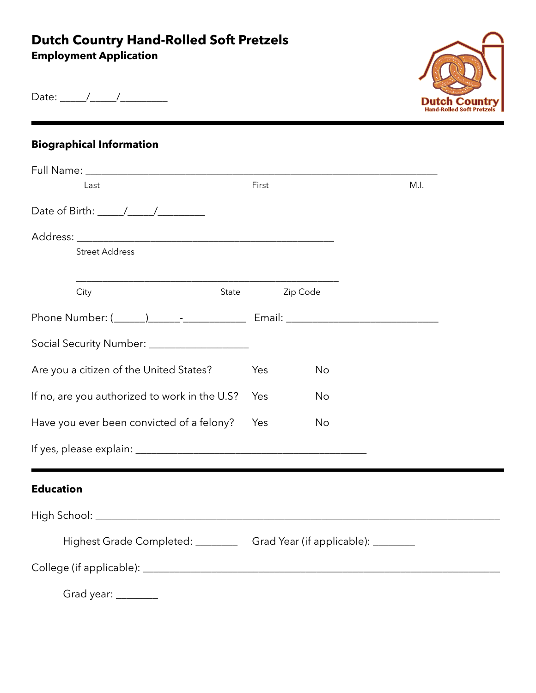## **Dutch Country Hand-Rolled Soft Pretzels**

**Employment Application** 



Date: \_\_\_\_\_/\_\_\_\_\_/\_\_\_\_\_\_\_\_\_

## **Biographical Information**

| Last                                                                                                                                                                                                                                                                                                                                                                                                              | First |           | M.I. |
|-------------------------------------------------------------------------------------------------------------------------------------------------------------------------------------------------------------------------------------------------------------------------------------------------------------------------------------------------------------------------------------------------------------------|-------|-----------|------|
| Date of Birth: $\frac{1}{\sqrt{1-\frac{1}{2}}}\frac{1}{\sqrt{1-\frac{1}{2}}}\frac{1}{\sqrt{1-\frac{1}{2}}}\frac{1}{\sqrt{1-\frac{1}{2}}}\frac{1}{\sqrt{1-\frac{1}{2}}}\frac{1}{\sqrt{1-\frac{1}{2}}}\frac{1}{\sqrt{1-\frac{1}{2}}}\frac{1}{\sqrt{1-\frac{1}{2}}}\frac{1}{\sqrt{1-\frac{1}{2}}}\frac{1}{\sqrt{1-\frac{1}{2}}}\frac{1}{\sqrt{1-\frac{1}{2}}}\frac{1}{\sqrt{1-\frac{1}{2}}}\frac{1}{\sqrt{1-\frac{1$ |       |           |      |
|                                                                                                                                                                                                                                                                                                                                                                                                                   |       |           |      |
| <b>Street Address</b>                                                                                                                                                                                                                                                                                                                                                                                             |       |           |      |
| City<br>State                                                                                                                                                                                                                                                                                                                                                                                                     |       | Zip Code  |      |
| Phone Number: (1, 2002) [2012] [2012] Email: 2022 [2012] [2012] [2012] [2012] [2012] [2012] [2012] [2012] [2012] [                                                                                                                                                                                                                                                                                                |       |           |      |
| Social Security Number: ____________________                                                                                                                                                                                                                                                                                                                                                                      |       |           |      |
| Are you a citizen of the United States?                                                                                                                                                                                                                                                                                                                                                                           | Yes   | <b>No</b> |      |
| If no, are you authorized to work in the U.S?                                                                                                                                                                                                                                                                                                                                                                     | Yes   | No        |      |
| Have you ever been convicted of a felony?                                                                                                                                                                                                                                                                                                                                                                         | Yes   | <b>No</b> |      |
|                                                                                                                                                                                                                                                                                                                                                                                                                   |       |           |      |
| <b>Education</b>                                                                                                                                                                                                                                                                                                                                                                                                  |       |           |      |
|                                                                                                                                                                                                                                                                                                                                                                                                                   |       |           |      |
| Highest Grade Completed: ___________ Grad Year (if applicable): ________                                                                                                                                                                                                                                                                                                                                          |       |           |      |
|                                                                                                                                                                                                                                                                                                                                                                                                                   |       |           |      |
| Grad year: ________                                                                                                                                                                                                                                                                                                                                                                                               |       |           |      |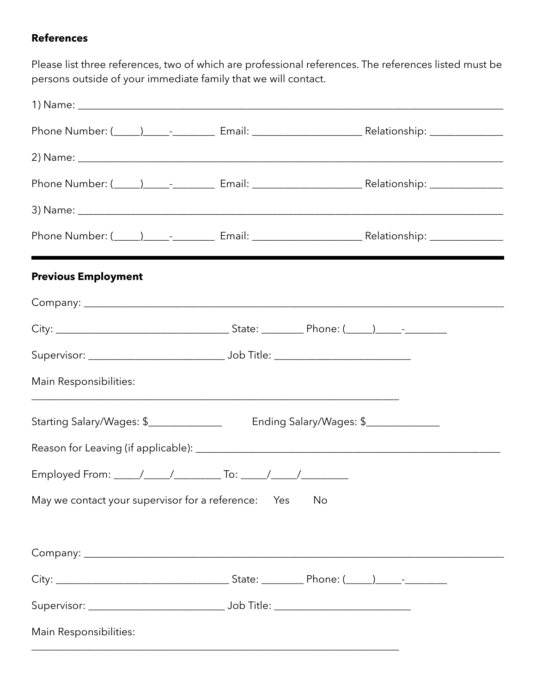## **References**

Please list three references, two of which are professional references. The references listed must be persons outside of your immediate family that we will contact.

| <b>Previous Employment</b>                      |                         |  |
|-------------------------------------------------|-------------------------|--|
|                                                 |                         |  |
|                                                 |                         |  |
|                                                 |                         |  |
| Main Responsibilities:                          |                         |  |
| Starting Salary/Wages: \$_______________        | Ending Salary/Wages: \$ |  |
|                                                 |                         |  |
|                                                 |                         |  |
| May we contact your supervisor for a reference: | Yes<br>No               |  |
|                                                 |                         |  |
|                                                 |                         |  |
|                                                 |                         |  |
| Main Responsibilities:                          |                         |  |